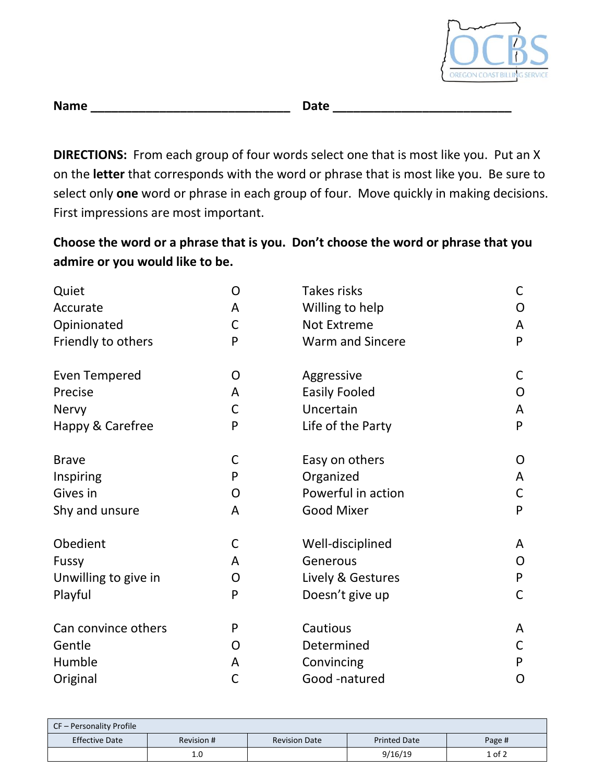

| <b>Name</b> | Date |
|-------------|------|
|             |      |

**DIRECTIONS:** From each group of four words select one that is most like you. Put an X on the **letter** that corresponds with the word or phrase that is most like you. Be sure to select only **one** word or phrase in each group of four. Move quickly in making decisions. First impressions are most important.

**Choose the word or a phrase that is you. Don't choose the word or phrase that you admire or you would like to be.**

| Quiet                | O            | Takes risks             | C |
|----------------------|--------------|-------------------------|---|
| Accurate             | A            | Willing to help         | O |
| Opinionated          | С            | Not Extreme             | A |
| Friendly to others   | P            | <b>Warm and Sincere</b> | P |
| <b>Even Tempered</b> | O            | Aggressive              | C |
| Precise              | A            | <b>Easily Fooled</b>    | O |
| Nervy                | C            | Uncertain               | A |
| Happy & Carefree     | P            | Life of the Party       | P |
| <b>Brave</b>         | С            | Easy on others          | O |
| Inspiring            | P            | Organized               | A |
| Gives in             | O            | Powerful in action      | C |
| Shy and unsure       | A            | <b>Good Mixer</b>       | P |
| Obedient             | С            | Well-disciplined        | A |
| Fussy                | A            | Generous                | O |
| Unwilling to give in | O            | Lively & Gestures       | P |
| Playful              | P            | Doesn't give up         | C |
| Can convince others  | P            | Cautious                | A |
| Gentle               | O            | Determined              | C |
| Humble               | A            | Convincing              | P |
| Original             | $\mathsf{C}$ | Good -natured           | O |

| CF - Personality Profile |            |                      |                     |            |
|--------------------------|------------|----------------------|---------------------|------------|
| <b>Effective Date</b>    | Revision # | <b>Revision Date</b> | <b>Printed Date</b> | Page #     |
|                          | 1.0        |                      | 9/16/19             | $1$ of $2$ |